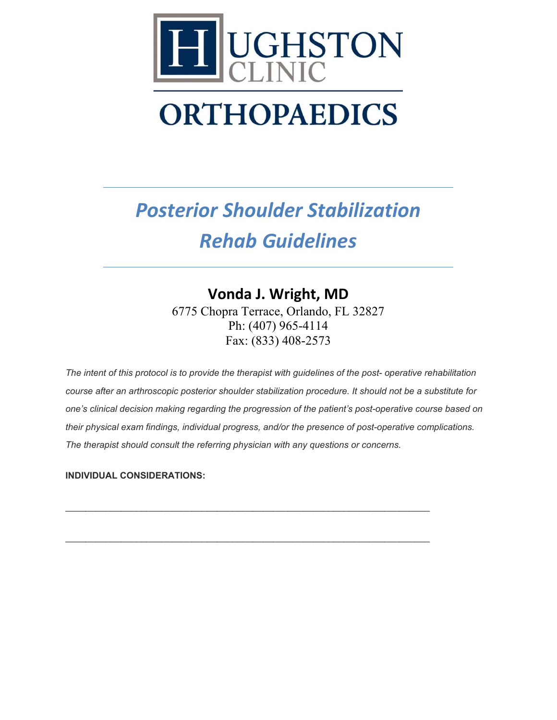

# *Posterior Shoulder Stabilization Rehab Guidelines*

## **Vonda J. Wright, MD**

6775 Chopra Terrace, Orlando, FL 32827 Ph: (407) 965-4114 Fax: (833) 408-2573

*The intent of this protocol is to provide the therapist with guidelines of the post- operative rehabilitation course after an arthroscopic posterior shoulder stabilization procedure. It should not be a substitute for one's clinical decision making regarding the progression of the patient's post-operative course based on their physical exam findings, individual progress, and/or the presence of post-operative complications. The therapist should consult the referring physician with any questions or concerns.*

\_\_\_\_\_\_\_\_\_\_\_\_\_\_\_\_\_\_\_\_\_\_\_\_\_\_\_\_\_\_\_\_\_\_\_\_\_\_\_\_\_\_\_\_\_\_\_\_\_\_\_\_\_\_\_\_\_\_\_\_\_\_\_\_\_\_\_\_\_\_\_\_

\_\_\_\_\_\_\_\_\_\_\_\_\_\_\_\_\_\_\_\_\_\_\_\_\_\_\_\_\_\_\_\_\_\_\_\_\_\_\_\_\_\_\_\_\_\_\_\_\_\_\_\_\_\_\_\_\_\_\_\_\_\_\_\_\_\_\_\_\_\_\_\_

#### **INDIVIDUAL CONSIDERATIONS:**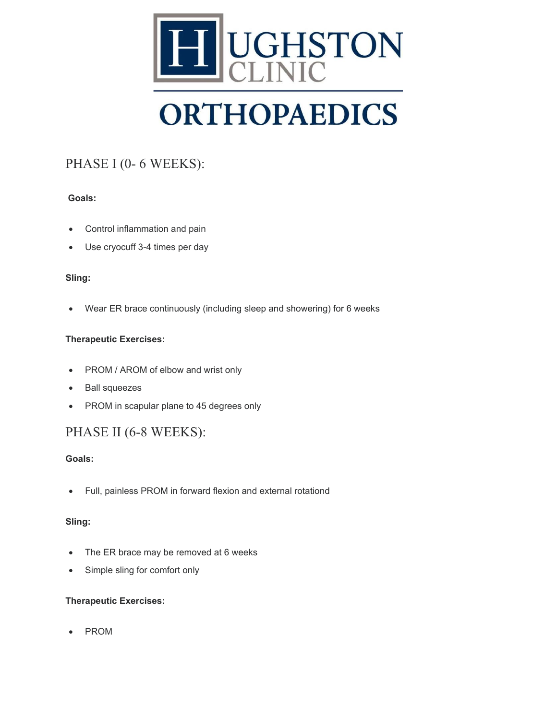

### PHASE I (0- 6 WEEKS):

#### **Goals:**

- Control inflammation and pain
- Use cryocuff 3-4 times per day

#### **Sling:**

• Wear ER brace continuously (including sleep and showering) for 6 weeks

#### **Therapeutic Exercises:**

- PROM / AROM of elbow and wrist only
- Ball squeezes
- PROM in scapular plane to 45 degrees only

### PHASE II (6-8 WEEKS):

#### **Goals:**

• Full, painless PROM in forward flexion and external rotationd

#### **Sling:**

- The ER brace may be removed at 6 weeks
- Simple sling for comfort only

#### **Therapeutic Exercises:**

• PROM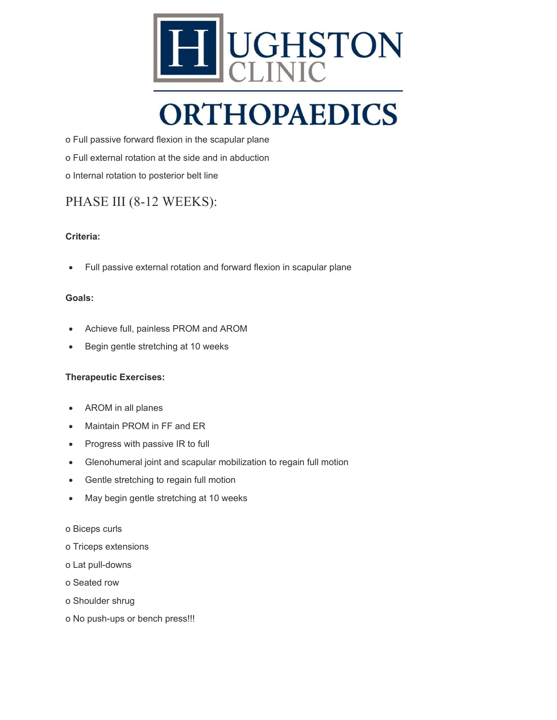

o Full passive forward flexion in the scapular plane o Full external rotation at the side and in abduction o Internal rotation to posterior belt line

### PHASE III (8-12 WEEKS):

#### **Criteria:**

• Full passive external rotation and forward flexion in scapular plane

#### **Goals:**

- Achieve full, painless PROM and AROM
- Begin gentle stretching at 10 weeks

#### **Therapeutic Exercises:**

- AROM in all planes
- Maintain PROM in FF and ER
- Progress with passive IR to full
- Glenohumeral joint and scapular mobilization to regain full motion
- Gentle stretching to regain full motion
- May begin gentle stretching at 10 weeks
- o Biceps curls
- o Triceps extensions
- o Lat pull-downs
- o Seated row
- o Shoulder shrug
- o No push-ups or bench press!!!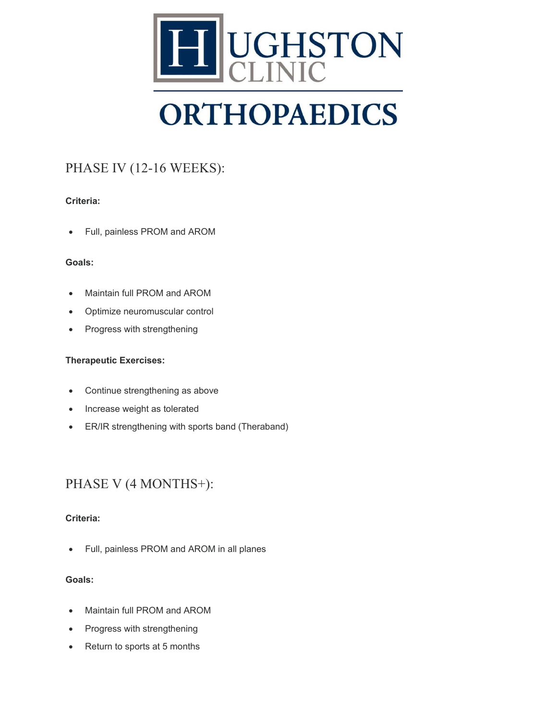

## PHASE IV (12-16 WEEKS):

#### **Criteria:**

• Full, painless PROM and AROM

#### **Goals:**

- Maintain full PROM and AROM
- Optimize neuromuscular control
- Progress with strengthening

#### **Therapeutic Exercises:**

- Continue strengthening as above
- Increase weight as tolerated
- ER/IR strengthening with sports band (Theraband)

### PHASE V (4 MONTHS+):

#### **Criteria:**

• Full, painless PROM and AROM in all planes

#### **Goals:**

- Maintain full PROM and AROM
- Progress with strengthening
- Return to sports at 5 months